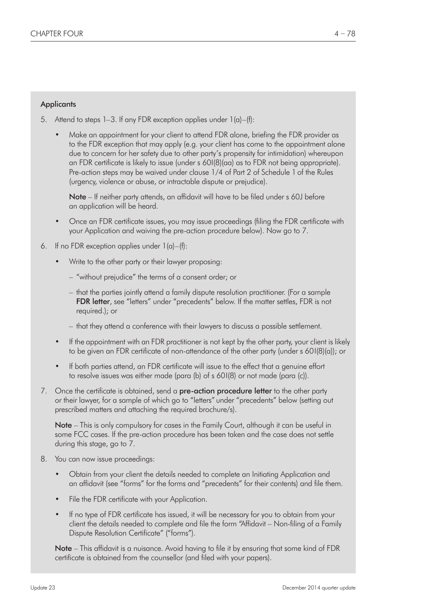## **Applicants**

- 5. Attend to steps 1–3. If any FDR exception applies under  $1(a)$ – $(f)$ :
	- Make an appointment for your client to attend FDR alone, briefing the FDR provider as to the FDR exception that may apply (e.g. your client has come to the appointment alone due to concern for her safety due to other party's propensity for intimidation) whereupon an FDR certificate is likely to issue (under s  $601(8)(aa)$  as to FDR not being appropriate). Pre-action steps may be waived under clause 1/4 of Part 2 of Schedule 1 of the Rules (urgency, violence or abuse, or intractable dispute or prejudice).

Note – If neither party attends, an affidavit will have to be filed under s 60J before an application will be heard.

- Once an FDR certificate issues, you may issue proceedings (filing the FDR certificate with your Application and waiving the pre-action procedure below). Now go to 7.
- 6. If no FDR exception applies under  $1(a)$ –(f):
	- Write to the other party or their lawyer proposing:
		- "without prejudice" the terms of a consent order; or
		- that the parties jointly attend a family dispute resolution practitioner. (For a sample FDR letter, see "letters" under "precedents" below. If the matter settles, FDR is not required.); or
		- that they attend a conference with their lawyers to discuss a possible settlement.
	- If the appointment with an FDR practitioner is not kept by the other party, your client is likely to be given an FDR certificate of non-attendance of the other party (under s  $60I(8)(a)$ ); or
	- If both parties attend, an FDR certificate will issue to the effect that a genuine effort to resolve issues was either made (para (b) of s 60I(8) or not made (para (c)).
- 7. Once the certificate is obtained, send a pre-action procedure letter to the other party or their lawyer, for a sample of which go to "letters" under "precedents" below (setting out prescribed matters and attaching the required brochure/s).

Note – This is only compulsory for cases in the Family Court, although it can be useful in some FCC cases. If the pre-action procedure has been taken and the case does not settle during this stage, go to 7.

- 8. You can now issue proceedings:
	- Obtain from your client the details needed to complete an Initiating Application and an affidavit (see "forms" for the forms and "precedents" for their contents) and file them.
	- File the FDR certificate with your Application.
	- If no type of FDR certificate has issued, it will be necessary for you to obtain from your client the details needed to complete and file the form "Affidavit – Non-filing of a Family Dispute Resolution Certificate" ("forms").

Note – This affidavit is a nuisance. Avoid having to file it by ensuring that some kind of FDR certificate is obtained from the counsellor (and filed with your papers).